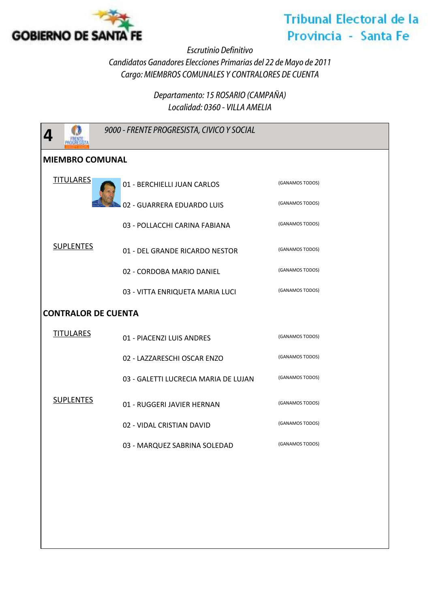

## **Tribunal Electoral de la** Provincia - Santa Fe

*Escrutinio Definitivo*

*Candidatos Ganadores Elecciones Primarias del 22 de Mayo de 2011 Cargo: MIEMBROS COMUNALES Y CONTRALORES DE CUENTA*

> *Departamento: 15 ROSARIO (CAMPAÑA) Localidad: 0360 - VILLA AMELIA*

| 4                          | 9000 - FRENTE PROGRESISTA, CIVICO Y SOCIAL |                 |  |  |
|----------------------------|--------------------------------------------|-----------------|--|--|
| <b>MIEMBRO COMUNAL</b>     |                                            |                 |  |  |
| <b>TITULARES</b>           | 01 - BERCHIELLI JUAN CARLOS                | (GANAMOS TODOS) |  |  |
| <b>SUPLENTES</b>           | 02 - GUARRERA EDUARDO LUIS                 | (GANAMOS TODOS) |  |  |
|                            | 03 - POLLACCHI CARINA FABIANA              | (GANAMOS TODOS) |  |  |
|                            | 01 - DEL GRANDE RICARDO NESTOR             | (GANAMOS TODOS) |  |  |
|                            | 02 - CORDOBA MARIO DANIEL                  | (GANAMOS TODOS) |  |  |
|                            | 03 - VITTA ENRIQUETA MARIA LUCI            | (GANAMOS TODOS) |  |  |
| <b>CONTRALOR DE CUENTA</b> |                                            |                 |  |  |
| <b>TITULARES</b>           | 01 - PIACENZI LUIS ANDRES                  | (GANAMOS TODOS) |  |  |
|                            | 02 - LAZZARESCHI OSCAR ENZO                | (GANAMOS TODOS) |  |  |
|                            | 03 - GALETTI LUCRECIA MARIA DE LUJAN       | (GANAMOS TODOS) |  |  |
| <b>SUPLENTES</b>           | 01 - RUGGERI JAVIER HERNAN                 | (GANAMOS TODOS) |  |  |
|                            | 02 - VIDAL CRISTIAN DAVID                  | (GANAMOS TODOS) |  |  |
|                            | 03 - MARQUEZ SABRINA SOLEDAD               | (GANAMOS TODOS) |  |  |
|                            |                                            |                 |  |  |
|                            |                                            |                 |  |  |
|                            |                                            |                 |  |  |
|                            |                                            |                 |  |  |